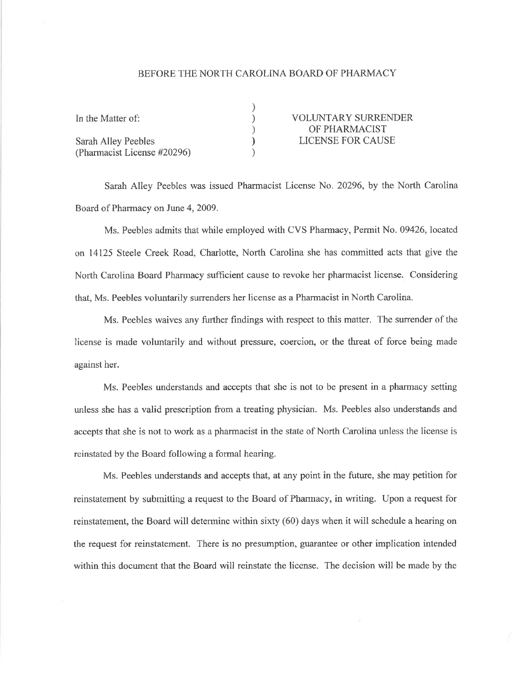## BEFORE THE NORTH CAROLINA BOARD OF PHARMACY

| In the Matter of:           | <b>VOLUNTARY SURRENDER</b> |
|-----------------------------|----------------------------|
|                             | OF PHARMACIST              |
| Sarah Alley Peebles         | LICENSE FOR CAUSE          |
| (Pharmacist License #20296) |                            |

Sarah Alley Peebles was issued Pharmacist License No. 20296, by the North Carolina Board of Pharmacy on June 4, 2009.

Ms. Peebles admits that while employed with CVS Pharmacy, Permit No. 09426, located on 14125 Steele Creek Road, Charlotte, North Carolina she has committed acts that give the North Carolina Board Pharmacy sufficient cause to revoke her pharmacist license. Considering that, Ms. Peebles voluntarily surrenders her license as a Pharmacist in North Carolina.

Ms. Peebles waives any firther findings with respect to this matter. The sunender of the license is made voluntarily and without pressure, coercion, or the threat of force being made against her.

Ms. Peebles understands and accepts that she is not to be present in a pharmacy setting unless she has a valid prescription from a treating physician. Ms. Peebles also understands and accepts that she is not to work as apharmacist in the state of North Carolina unless the license is reinstated by the Board following a formal hearing.

Ms. Peebles understands and accepts that, at any point in the future, she may petition for reinstatement by submitting a request to the Board of Pharmacy, in writing. Upon a request for reinstatement, the Board will determine within sixty (60) days when it will schedule a hearing on the request for reinstatement. There is no presumption, guarantee or other implication intended within this document that the Board will reinstate the license. The decision will be made by the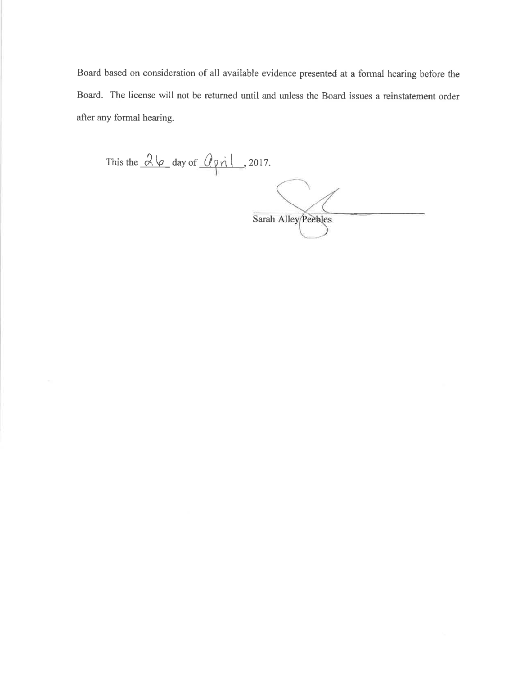Board based on consideration of all available evidence presented at a formal hearing before the Board. The license will not be returned until and unless the Board issues a reinstatement order after any formal hearing.

This the  $\frac{\partial \varphi}{\partial x}$  day of  $\frac{\partial \varphi}{\partial x}$ , 2017. Sarah Alley Peebles